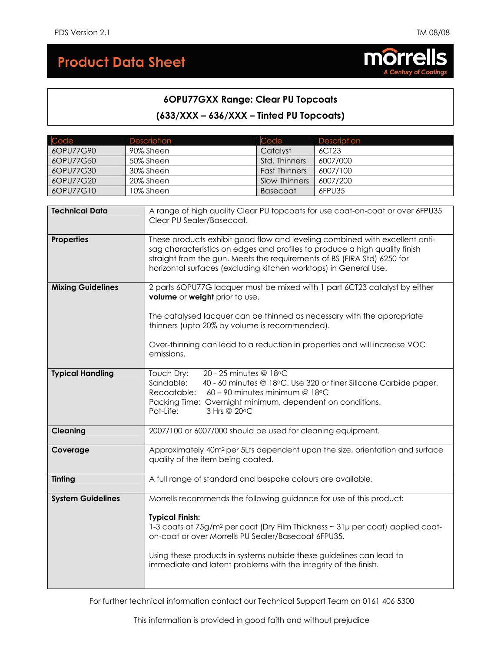# **Product Data Sheet**



# **6OPU77GXX Range: Clear PU Topcoats (633/XXX – 636/XXX – Tinted PU Topcoats)**

| Code                                                                                                                                                                                                                                                                                                                          | Description                                                                                                                                                                                                                                                                                     | Code                                                                                                                    | Description                                                                                |  |  |
|-------------------------------------------------------------------------------------------------------------------------------------------------------------------------------------------------------------------------------------------------------------------------------------------------------------------------------|-------------------------------------------------------------------------------------------------------------------------------------------------------------------------------------------------------------------------------------------------------------------------------------------------|-------------------------------------------------------------------------------------------------------------------------|--------------------------------------------------------------------------------------------|--|--|
| 6OPU77G90                                                                                                                                                                                                                                                                                                                     | 90% Sheen                                                                                                                                                                                                                                                                                       | Catalyst                                                                                                                | 6CT23                                                                                      |  |  |
| 6OPU77G50                                                                                                                                                                                                                                                                                                                     | 50% Sheen                                                                                                                                                                                                                                                                                       | Std. Thinners                                                                                                           | 6007/000                                                                                   |  |  |
| 6OPU77G30                                                                                                                                                                                                                                                                                                                     | 30% Sheen                                                                                                                                                                                                                                                                                       | <b>Fast Thinners</b>                                                                                                    | 6007/100                                                                                   |  |  |
| 6OPU77G20                                                                                                                                                                                                                                                                                                                     | 20% Sheen                                                                                                                                                                                                                                                                                       | <b>Slow Thinners</b>                                                                                                    | 6007/200                                                                                   |  |  |
| 6OPU77G10                                                                                                                                                                                                                                                                                                                     | 10% Sheen                                                                                                                                                                                                                                                                                       | <b>Basecoat</b>                                                                                                         | 6FPU35                                                                                     |  |  |
|                                                                                                                                                                                                                                                                                                                               |                                                                                                                                                                                                                                                                                                 |                                                                                                                         |                                                                                            |  |  |
| <b>Technical Data</b>                                                                                                                                                                                                                                                                                                         | Clear PU Sealer/Basecoat.                                                                                                                                                                                                                                                                       |                                                                                                                         | A range of high quality Clear PU topcoats for use coat-on-coat or over 6FPU35              |  |  |
| <b>Properties</b><br>These products exhibit good flow and leveling combined with excellent anti-<br>sag characteristics on edges and profiles to produce a high quality finish<br>straight from the gun. Meets the requirements of BS (FIRA Std) 6250 for<br>horizontal surfaces (excluding kitchen worktops) in General Use. |                                                                                                                                                                                                                                                                                                 |                                                                                                                         |                                                                                            |  |  |
| <b>Mixing Guidelines</b>                                                                                                                                                                                                                                                                                                      | volume or weight prior to use.                                                                                                                                                                                                                                                                  |                                                                                                                         | 2 parts 6OPU77G lacquer must be mixed with 1 part 6CT23 catalyst by either                 |  |  |
|                                                                                                                                                                                                                                                                                                                               |                                                                                                                                                                                                                                                                                                 | The catalysed lacquer can be thinned as necessary with the appropriate<br>thinners (upto 20% by volume is recommended). |                                                                                            |  |  |
| Over-thinning can lead to a reduction in properties and will increase VOC<br>emissions.                                                                                                                                                                                                                                       |                                                                                                                                                                                                                                                                                                 |                                                                                                                         |                                                                                            |  |  |
| Touch Dry:<br>20 - 25 minutes @ 18°C<br><b>Typical Handling</b><br>Sandable:<br>40 - 60 minutes @ 18°C. Use 320 or finer Silicone Carbide paper.<br>Recoatable:<br>60 - 90 minutes minimum @ 18°C<br>Packing Time: Overnight minimum, dependent on conditions.<br>Pot-Life:<br>3 Hrs @ 20°C                                   |                                                                                                                                                                                                                                                                                                 |                                                                                                                         |                                                                                            |  |  |
| <b>Cleaning</b>                                                                                                                                                                                                                                                                                                               | 2007/100 or 6007/000 should be used for cleaning equipment.                                                                                                                                                                                                                                     |                                                                                                                         |                                                                                            |  |  |
| Approximately 40m <sup>2</sup> per 5Lts dependent upon the size, orientation and surface<br>Coverage<br>quality of the item being coated.                                                                                                                                                                                     |                                                                                                                                                                                                                                                                                                 |                                                                                                                         |                                                                                            |  |  |
| <b>Tinting</b>                                                                                                                                                                                                                                                                                                                | A full range of standard and bespoke colours are available.                                                                                                                                                                                                                                     |                                                                                                                         |                                                                                            |  |  |
| <b>System Guidelines</b>                                                                                                                                                                                                                                                                                                      | Morrells recommends the following guidance for use of this product:<br><b>Typical Finish:</b><br>on-coat or over Morrells PU Sealer/Basecoat 6FPU35.<br>Using these products in systems outside these guidelines can lead to<br>immediate and latent problems with the integrity of the finish. |                                                                                                                         | 1-3 coats at 75g/m <sup>2</sup> per coat (Dry Film Thickness ~ 31µ per coat) applied coat- |  |  |

For further technical information contact our Technical Support Team on 0161 406 5300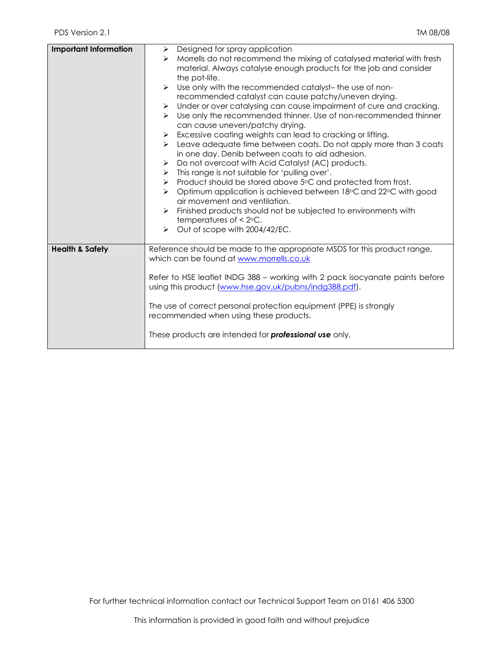| <b>Important Information</b> | $\triangleright$ Designed for spray application<br>Morrells do not recommend the mixing of catalysed material with fresh<br>➤<br>material. Always catalyse enough products for the job and consider<br>the pot-life.<br>Use only with the recommended catalyst- the use of non-<br>recommended catalyst can cause patchy/uneven drying.<br>Under or over catalysing can cause impairment of cure and cracking.<br>➤<br>Use only the recommended thinner. Use of non-recommended thinner<br>$\blacktriangleright$<br>can cause uneven/patchy drying.<br>Excessive coating weights can lead to cracking or lifting.<br>➤<br>Leave adequate time between coats. Do not apply more than 3 coats<br>$\triangleright$<br>in one day. Denib between coats to aid adhesion.<br>Do not overcoat with Acid Catalyst (AC) products.<br>$\triangleright$<br>This range is not suitable for 'pulling over'.<br>≻<br>Product should be stored above 5°C and protected from frost.<br>≻<br>Optimum application is achieved between 18°C and 22°C with good<br>$\triangleright$<br>air movement and ventilation.<br>Finished products should not be subjected to environments with<br>temperatures of $\leq 2$ °C.<br>Out of scope with 2004/42/EC.<br>$\blacktriangleright$ |
|------------------------------|--------------------------------------------------------------------------------------------------------------------------------------------------------------------------------------------------------------------------------------------------------------------------------------------------------------------------------------------------------------------------------------------------------------------------------------------------------------------------------------------------------------------------------------------------------------------------------------------------------------------------------------------------------------------------------------------------------------------------------------------------------------------------------------------------------------------------------------------------------------------------------------------------------------------------------------------------------------------------------------------------------------------------------------------------------------------------------------------------------------------------------------------------------------------------------------------------------------------------------------------------------------|
| <b>Health &amp; Safety</b>   | Reference should be made to the appropriate MSDS for this product range,<br>which can be found at www.morrells.co.uk<br>Refer to HSE leaflet INDG 388 - working with 2 pack isocyanate paints before<br>using this product (www.hse.gov.uk/pubns/indg388.pdf).<br>The use of correct personal protection equipment (PPE) is strongly<br>recommended when using these products.<br>These products are intended for <b>professional use</b> only.                                                                                                                                                                                                                                                                                                                                                                                                                                                                                                                                                                                                                                                                                                                                                                                                              |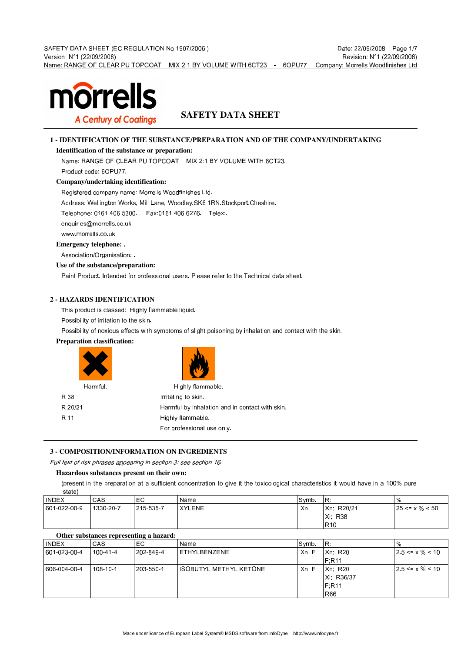

## **SAFETY DATA SHEET**

## **1 - IDENTIFICATION OF THE SUBSTANCE/PREPARATION AND OF THE COMPANY/UNDERTAKING**

## **Identification of the substance or preparation:**

Name: RANGE OF CLEAR PU TOPCOAT MIX 2:1 BY VOLUME WITH 6CT23.

Product code: 6OPU77.

## **Company/undertaking identification:**

Registered company name: Morrells Woodfinishes Ltd.

Address: Wellington Works, Mill Lane, Woodley.SK6 1RN.Stockport.Cheshire.

Telephone: 0161 406 5300. Fax:0161 406 6276. Telex:.

enquiries@morrells.co.uk

www.morrells.co.uk

**Emergency telephone: .**

Association/Organisation: .

## **Use of the substance/preparation:**

Paint Product. Intended for professional users. Please refer to the Technical data sheet.

## **2 - HAZARDS IDENTIFICATION**

This product is classed: Highly flammable liquid.

Possibility of irritation to the skin.

Possibility of noxious effects with symptoms of slight poisoning by inhalation and contact with the skin.

## **Preparation classification:**



## **3 - COMPOSITION/INFORMATION ON INGREDIENTS**

Full text of risk phrases appearing in section 3: see section 16.

## **Hazardous substances present on their own:**

(present in the preparation at a sufficient concentration to give it the toxicological characteristics it would have in a 100% pure

| stato,       |           |           |        |       |                 |                       |
|--------------|-----------|-----------|--------|-------|-----------------|-----------------------|
| <b>INDEX</b> | CAS       | EC        | Name   | Symb. | IR.             | %                     |
| 601 022 00 9 | 1330 20 7 | 215-535-7 | XYLENE | Xn    | Xn: R20/21      | $125 \le x \% \le 50$ |
|              |           |           |        |       | Xi: R38         |                       |
|              |           |           |        |       | R <sub>10</sub> |                       |

|  | Other substances representing a hazard: |  |
|--|-----------------------------------------|--|
|  |                                         |  |

state)

| <b>INDEX</b> | CAS      | EC        | Name                    | ∣Symb. | IR.        | $\%$                          |
|--------------|----------|-----------|-------------------------|--------|------------|-------------------------------|
| 601 023 00 4 | 100 41 4 | 202-849-4 | ETHYLBENZENE            | Xn F   | Xn: R20    | $ 2.5 \le x \frac{9}{6} < 10$ |
|              |          |           |                         |        | F.R11      |                               |
| 606 004 00 4 | 108-10-1 | 203 550 1 | IISOBUTYL METHYL KETONE | Xn F   | Xn: R20    | $ 2.5 \le x \frac{9}{6} < 10$ |
|              |          |           |                         |        | Xi: R36/37 |                               |
|              |          |           |                         |        | F.R11      |                               |
|              |          |           |                         |        | l R66      |                               |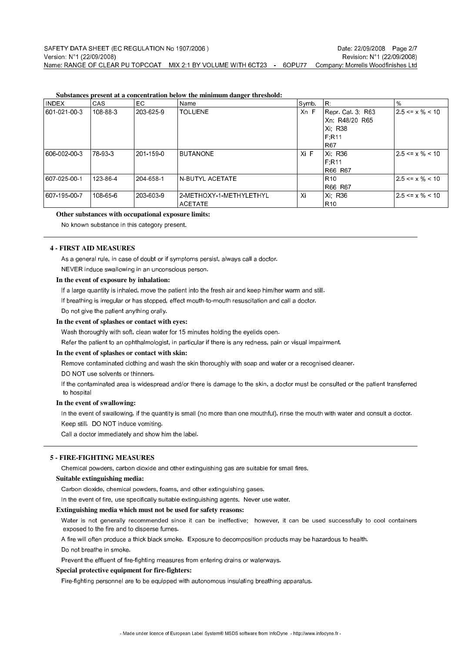**Substances present at a concentration below the minimum danger threshold:**

| <b>INDEX</b> | <b>CAS</b> | EC.       | Name                    | Symb. | IR.               | $\%$                   |
|--------------|------------|-----------|-------------------------|-------|-------------------|------------------------|
| 601 021 00 3 | 108 88 3   | 203 625 9 | <b>TOLUENE</b>          | Xn F  | Repr Cat 3 R63    | $ 2.5 \le x \% \le 10$ |
|              |            |           |                         |       | Xn, R48/20 R65    |                        |
|              |            |           |                         |       | Xi R38            |                        |
|              |            |           |                         |       | F.R11             |                        |
|              |            |           |                         |       | <b>R67</b>        |                        |
| 606 002 00 3 | 178 93 3   | 201-159-0 | <b>BUTANONE</b>         | Xi F  | Xi R36            | $25 \le x \% \le 10$   |
|              |            |           |                         |       | F R <sub>11</sub> |                        |
|              |            |           |                         |       | R66 R67           |                        |
| 607 025 00 1 | 123 86 4   | 204 658 1 | N-BUTYL ACETATE         |       | R <sub>10</sub>   | $12.5 \le x \% \le 10$ |
|              |            |           |                         |       | R66 R67           |                        |
| 607 195 00 7 | 108 65 6   | 203 603 9 | 2-METHOXY-1-METHYLETHYL | Xi    | Xi R36            | $25 \le x \% \le 10$   |
|              |            |           | ACETATE                 |       | R10               |                        |

## **Other substances with occupational exposure limits:**

No known substance in this category present.

## **4 - FIRST AID MEASURES**

As a general rule, in case of doubt or if symptoms persist, always call a doctor. NEVER induce swallowing in an unconscious person.

#### **In the event of exposure by inhalation:**

If a large quantity is inhaled, move the patient into the fresh air and keep him/her warm and still.

If breathing is irregular or has stopped, effect mouth-to-mouth resuscitation and call a doctor.

Do not give the patient anything orally.

### **In the event of splashes or contact with eyes:**

Wash thoroughly with soft, clean water for 15 minutes holding the eyelids open.

Refer the patient to an ophthalmologist, in particular if there is any redness, pain or visual impairment.

#### **In the event of splashes or contact with skin:**

Remove contaminated clothing and wash the skin thoroughly with soap and water or a recognised cleaner.

#### DO NOT use solvents or thinners.

If the contaminated area is widespread and/or there is damage to the skin, a doctor must be consulted or the patient transferred to hospital

#### **In the event of swallowing:**

In the event of swallowing, if the quantity is small (no more than one mouthful), rinse the mouth with water and consult a doctor. Keep still. DO NOT induce vomiting.

Call a doctor immediately and show him the label.

## **5 - FIRE-FIGHTING MEASURES**

Chemical powders, carbon dioxide and other extinguishing gas are suitable for small fires.

## **Suitable extinguishing media:**

Carbon dioxide, chemical powders, foams, and other extinguishing gases.

In the event of fire, use specifically suitable extinguishing agents. Never use water.

## **Extinguishing media which must not be used for safety reasons:**

Water is not generally recommended since it can be ineffective; however, it can be used successfully to cool containers exposed to the fire and to disperse fumes.

A fire will often produce a thick black smoke. Exposure to decomposition products may be hazardous to health.

Do not breathe in smoke.

Prevent the effluent of fire-fighting measures from entering drains or waterways.

#### **Special protective equipment for fire-fighters:**

Fire-fighting personnel are to be equipped with autonomous insulating breathing apparatus.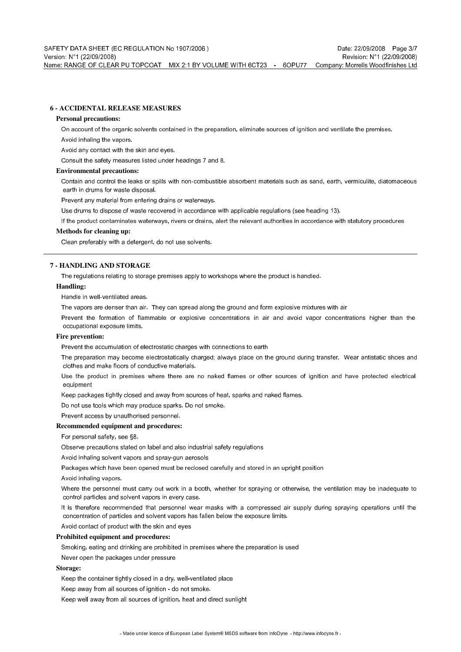## **6 - ACCIDENTAL RELEASE MEASURES**

#### **Personal precautions:**

On account of the organic solvents contained in the preparation, eliminate sources of ignition and ventilate the premises.

Avoid inhaling the vapors.

Avoid any contact with the skin and eyes.

Consult the safety measures listed under headings 7 and 8.

#### **Environmental precautions:**

Contain and control the leaks or spills with non-combustible absorbent materials such as sand, earth, vermiculite, diatomaceous earth in drums for waste disposal.

Prevent any material from entering drains or waterways.

Use drums to dispose of waste recovered in accordance with applicable regulations (see heading 13).

If the product contaminates waterways, rivers or drains, alert the relevant authorities in accordance with statutory procedures

#### **Methods for cleaning up:**

Clean preferably with a detergent, do not use solvents.

## **7 - HANDLING AND STORAGE**

The regulations relating to storage premises apply to workshops where the product is handled.

## **Handling:**

Handle in well-ventilated areas.

The vapors are denser than air. They can spread along the ground and form explosive mixtures with air

Prevent the formation of flammable or explosive concentrations in air and avoid vapor concentrations higher than the occupational exposure limits.

## **Fire prevention:**

Prevent the accumulation of electrostatic charges with connections to earth

The preparation may become electrostatically charged; always place on the ground during transfer. Wear antistatic shoes and clothes and make floors of conductive materials.

Use the product in premises where there are no naked flames or other sources of ignition and have protected electrical equipment

Keep packages tightly closed and away from sources of heat, sparks and naked flames.

Do not use tools which may produce sparks. Do not smoke.

Prevent access by unauthorised personnel.

## **Recommended equipment and procedures:**

For personal safety, see §8.

Observe precautions stated on label and also industrial safety regulations

Avoid inhaling solvent vapors and spray-gun aerosols

Packages which have been opened must be reclosed carefully and stored in an upright position

Avoid inhaling vapors.

Where the personnel must carry out work in a booth, whether for spraying or otherwise, the ventilation may be inadequate to control particles and solvent vapors in every case.

It is therefore recommended that personnel wear masks with a compressed air supply during spraying operations until the concentration of particles and solvent vapors has fallen below the exposure limits.

Avoid contact of product with the skin and eyes

## **Prohibited equipment and procedures:**

Smoking, eating and drinking are prohibited in premises where the preparation is used

Never open the packages under pressure

#### **Storage:**

Keep the container tightly closed in a dry, well-ventilated place

Keep away from all sources of ignition - do not smoke.

Keep well away from all sources of ignition, heat and direct sunlight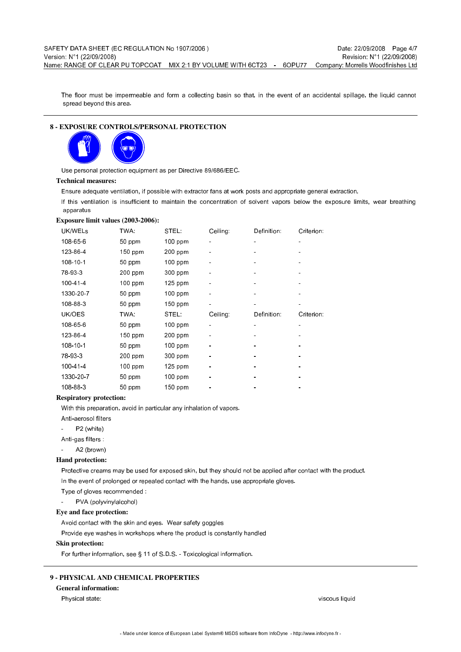The floor must be impermeable and form a collecting basin so that, in the event of an accidental spillage, the liquid cannot spread beyond this area.

## **8 - EXPOSURE CONTROLS/PERSONAL PROTECTION**



Use personal protection equipment as per Directive 89/686/EEC.

## **Technical measures:**

Ensure adequate ventilation, if possible with extractor fans at work posts and appropriate general extraction.

If this ventilation is insufficient to maintain the concentration of solvent vapors below the exposure limits, wear breathing apparatus

#### **Exposure limit values (2003-2006):**

| UK/WELS   | TWA:      | STEL.     | Ceiling: | Definition: | Criterion: |
|-----------|-----------|-----------|----------|-------------|------------|
| 108-65-6  | 50 ppm    | $100$ ppm |          | ۰           |            |
| 123-86-4  | 150 ppm   | $200$ ppm |          |             |            |
| 108-10-1  | 50 ppm    | 100 ppm   |          |             |            |
| 78 93 3   | $200$ ppm | 300 ppm   |          |             |            |
| 100-41-4  | $100$ ppm | $125$ ppm |          |             |            |
| 1330-20-7 | 50 ppm    | 100 ppm   |          |             |            |
| 108-88-3  | 50 ppm    | $150$ ppm |          |             |            |
|           |           |           |          |             |            |
| UK/OES    | TWA:      | STEL:     | Ceiling: | Definition: | Criterion: |
| 108-65-6  | 50 ppm    | 100 ppm   |          |             |            |
| 123-86-4  | $150$ ppm | 200 ppm   |          |             |            |
| 108-10-1  | 50 ppm    | 100 ppm   |          |             |            |
| 78 93 3   | 200 ppm   | 300 ppm   |          |             |            |
| 100-41-4  | 100 ppm   | 125 ppm   |          |             |            |
| 1330-20-7 | 50 ppm    | 100 ppm   |          |             |            |

#### **Respiratory protection:**

With this preparation, avoid in particular any inhalation of vapors.

- Anti-aerosol filters
- P2 (white)
- Anti-gas filters
- A2 (brown)

#### **Hand protection:**

Protective creams may be used for exposed skin, but they should not be applied after contact with the product. In the event of prolonged or repeated contact with the hands, use appropriate gloves.

Type of gloves recommended :

PVA (polyvinylalcohol)

**Eye and face protection:**

Avoid contact with the skin and eyes. Wear safety goggles

Provide eye washes in workshops where the product is constantly handled

#### **Skin protection:**

For further information, see § 11 of S.D.S. - Toxicological information.

#### **9 - PHYSICAL AND CHEMICAL PROPERTIES**

## **General information:**

Physical state: viscous liquid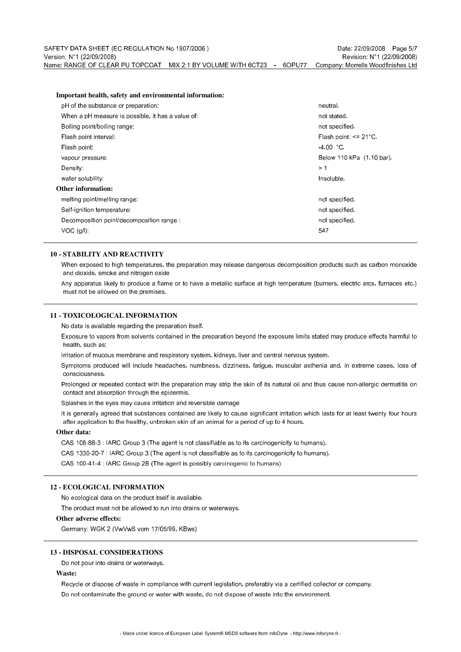#### **Important health, safety and environmental information:**

| pH of the substance or preparation:               | neutral.                  |
|---------------------------------------------------|---------------------------|
| When a pH measure is possible, it has a value of: | not stated.               |
| Boiling point/boiling range:                      | not specified.            |
| Flash point interval:                             | Flash point: $\leq$ 21°C. |
| Flash point:                                      | 4.00 °C.                  |
| vapour pressure:                                  | Below 110 kPa (1.10 bar). |
| Density:                                          | > 1                       |
| water solubility:                                 | Insoluble.                |
| Other information:                                |                           |
| meting point/meting range:                        | not specified.            |
| Self ignition temperature:                        | not specified.            |
| Decomposition point/decomposition range:          | not specified.            |
| $VOC$ (g/l).                                      | 547                       |
|                                                   |                           |

#### **10 - STABILITY AND REACTIVITY**

When exposed to high temperatures, the preparation may release dangerous decomposition products such as carbon monoxide and dioxide, smoke and nitrogen oxide

Any apparatus likely to produce a flame or to have a metallic surface at high temperature (burners, electric arcs, furnaces etc.) must not be allowed on the premises.

### **11 - TOXICOLOGICAL INFORMATION**

No data is available regarding the preparation itself.

Exposure to vapors from solvents contained in the preparation beyond the exposure limits stated may produce effects harmful to health, such as:

Irritation of mucous membrane and respiratory system, kidneys, liver and central nervous system.

Symptoms produced will include headaches, numbness, dizziness, fatigue, muscular asthenia and, in extreme cases, loss of consciousness.

Prolonged or repeated contact with the preparation may strip the skin of its natural oil and thus cause non-allergic dermatitis on contact and absorption through the epidermis.

Splashes in the eyes may cause irritation and reversible damage

It is generally agreed that substances contained are likely to cause significant irritation which lasts for at least twenty four hours after application to the healthy, unbroken skin of an animal for a period of up to 4 hours.

#### **Other data:**

CAS 108-88-3 : IARC Group 3 (The agent is not classifiable as to its carcinogenicity to humans).

CAS 1330-20-7 : IARC Group 3 (The agent is not classifiable as to its carcinogenicity to humans).

CAS 100-41-4 : IARC Group 2B (The agent is possibly carcinogenic to humans)

## **12 - ECOLOGICAL INFORMATION**

No ecological data on the product itself is available.

The product must not be allowed to run into drains or waterways.

#### **Other adverse effects:**

Germany: WGK 2 (VwVwS vom 17/05/99, KBws)

#### **13 - DISPOSAL CONSIDERATIONS**

Do not pour into drains or waterways.

## **Waste:**

Recycle or dispose of waste in compliance with current legislation, preferably via a certified collector or company. Do not contaminate the ground or water with waste, do not dispose of waste into the environment.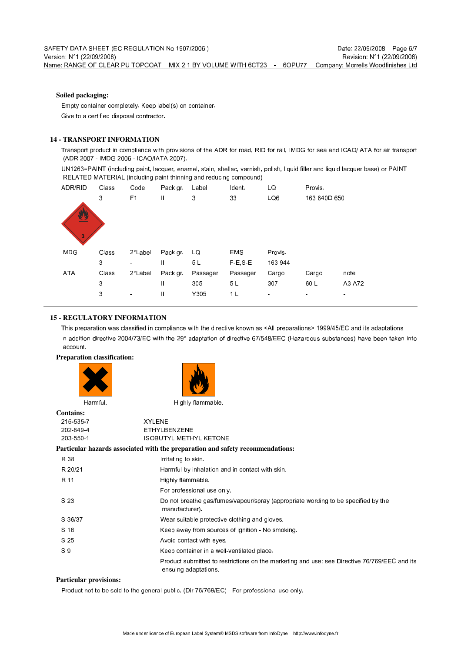### **Soiled packaging:**

Empty container completely. Keep label(s) on container. Give to a certified disposal contractor.

## **14 - TRANSPORT INFORMATION**

Transport product in compliance with provisions of the ADR for road, RID for rail, IMDG for sea and ICAO/IATA for air transport (ADR 2007 - IMDG 2006 - ICAO/IATA 2007).

UN1263=PAINT (including paint, lacquer, enamel, stain, shellac, varnish, polish, liquid filler and liquid lacquer base) or PAINT RELATED MATERIAL (including paint thinning and reducing compound)



## **15 - REGULATORY INFORMATION**

This preparation was classified in compliance with the directive known as <All preparations> 1999/45/EC and its adaptations In addition directive 2004/73/EC with the 29° adaptation of directive 67/548/EEC (Hazardous substances) have been taken into account.

## **Preparation classification:**





**Contains:**

215-535-7 XYLENE 202-849-4 ETHYLBENZENE 203-550-1 ISOBUTYL METHYL KETONE

|                | Particular hazards associated with the preparation and safety recommendations:                                       |
|----------------|----------------------------------------------------------------------------------------------------------------------|
| R 38           | Imtating to skin.                                                                                                    |
| R 20/21        | Harmful by inhalation and in contact with skin.                                                                      |
| R 11           | Highly flammable.                                                                                                    |
|                | For professional use only.                                                                                           |
| S 23           | Do not breathe gas/fumes/vapour/spray (appropriate wording to be specified by the<br>manufacturer).                  |
| S 36/37        | Wear suitable protective clothing and gloves.                                                                        |
| S 16           | Keep away from sources of ignition - No smoking.                                                                     |
| S 25           | Avoid contact with eyes                                                                                              |
| S <sub>9</sub> | Keep container in a well-ventilated place.                                                                           |
|                | Product submitted to restrictions on the marketing and use: see Directive 76/769/EEC and its<br>ensuing adaptations. |
|                |                                                                                                                      |

## **Particular provisions:**

Product not to be sold to the general public. (Dir 76/769/EC) - For professional use only.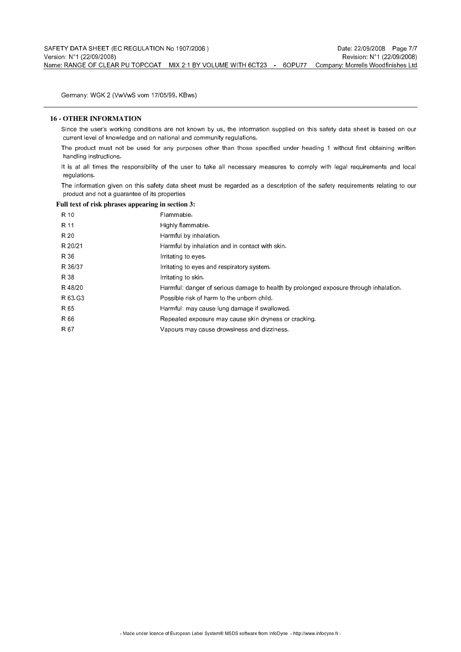Germany: WGK 2 (VwVwS vom 17/05/99, KBws)

## **16 - OTHER INFORMATION**

Since the user's working conditions are not known by us, the information supplied on this safety data sheet is based on our current level of knowledge and on national and community regulations.

The product must not be used for any purposes other than those specified under heading 1 without first obtaining written handling instructions.

It is at all times the responsibility of the user to take all necessary measures to comply with legal requirements and local regulations.

The information given on this safety data sheet must be regarded as a description of the safety requirements relating to our product and not a guarantee of its properties

## **Full text of risk phrases appearing in section 3:**

| R 10    | Flammable.                                                                            |
|---------|---------------------------------------------------------------------------------------|
| R 11    | Highly flammable.                                                                     |
| R 20    | Harmful by inhalation.                                                                |
| R 20/21 | Harmful by inhalation and in contact with skin.                                       |
| R 36    | Initating to eyes                                                                     |
| R 36/37 | Initiating to eyes and respiratory system.                                            |
| R 38    | Imtating to skin.                                                                     |
| R48/20  | Harmful: danger of serious damage to health by prolonged exposure through inhalation. |
| R 63 G3 | Possible risk of harm to the unborn child.                                            |
| R 65    | Harmful: may cause lung damage if swallowed.                                          |
| R 66    | Repeated exposure may cause skin dryness or cracking.                                 |
| R 67    | Vapours may cause drowsiness and dizziness.                                           |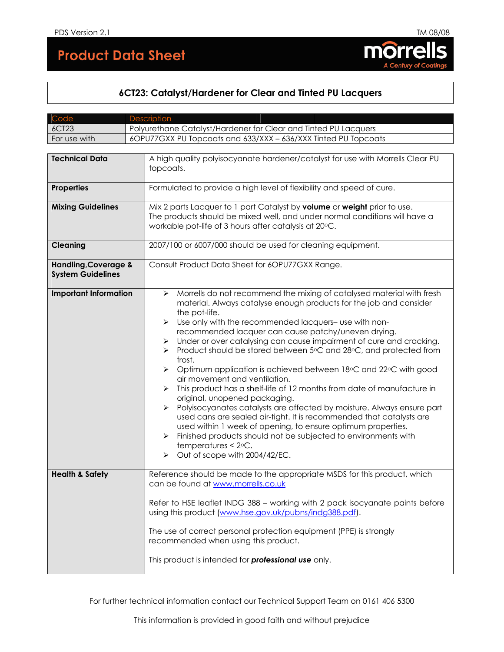# **Product Data Sheet**



# **6CT23: Catalyst/Hardener for Clear and Tinted PU Lacquers**

| Code                                                                                                           | <b>Description</b>                                                                                                                                                                                                                                                                                                                                                                                                                                                                                                                                                                                                                                                                                                                                                                                                                                                                                                                                                                                                                              |  |  |
|----------------------------------------------------------------------------------------------------------------|-------------------------------------------------------------------------------------------------------------------------------------------------------------------------------------------------------------------------------------------------------------------------------------------------------------------------------------------------------------------------------------------------------------------------------------------------------------------------------------------------------------------------------------------------------------------------------------------------------------------------------------------------------------------------------------------------------------------------------------------------------------------------------------------------------------------------------------------------------------------------------------------------------------------------------------------------------------------------------------------------------------------------------------------------|--|--|
| <b>6CT23</b>                                                                                                   | Polyurethane Catalyst/Hardener for Clear and Tinted PU Lacquers                                                                                                                                                                                                                                                                                                                                                                                                                                                                                                                                                                                                                                                                                                                                                                                                                                                                                                                                                                                 |  |  |
| For use with                                                                                                   | 6OPU77GXX PU Topcoats and 633/XXX - 636/XXX Tinted PU Topcoats                                                                                                                                                                                                                                                                                                                                                                                                                                                                                                                                                                                                                                                                                                                                                                                                                                                                                                                                                                                  |  |  |
|                                                                                                                |                                                                                                                                                                                                                                                                                                                                                                                                                                                                                                                                                                                                                                                                                                                                                                                                                                                                                                                                                                                                                                                 |  |  |
| <b>Technical Data</b>                                                                                          | A high quality polyisocyanate hardener/catalyst for use with Morrells Clear PU<br>topcoats.                                                                                                                                                                                                                                                                                                                                                                                                                                                                                                                                                                                                                                                                                                                                                                                                                                                                                                                                                     |  |  |
| <b>Properties</b>                                                                                              | Formulated to provide a high level of flexibility and speed of cure.                                                                                                                                                                                                                                                                                                                                                                                                                                                                                                                                                                                                                                                                                                                                                                                                                                                                                                                                                                            |  |  |
| <b>Mixing Guidelines</b>                                                                                       | Mix 2 parts Lacquer to 1 part Catalyst by volume or weight prior to use.                                                                                                                                                                                                                                                                                                                                                                                                                                                                                                                                                                                                                                                                                                                                                                                                                                                                                                                                                                        |  |  |
|                                                                                                                | The products should be mixed well, and under normal conditions will have a<br>workable pot-life of 3 hours after catalysis at 20°C.                                                                                                                                                                                                                                                                                                                                                                                                                                                                                                                                                                                                                                                                                                                                                                                                                                                                                                             |  |  |
| <b>Cleaning</b>                                                                                                | 2007/100 or 6007/000 should be used for cleaning equipment.                                                                                                                                                                                                                                                                                                                                                                                                                                                                                                                                                                                                                                                                                                                                                                                                                                                                                                                                                                                     |  |  |
| Consult Product Data Sheet for 6OPU77GXX Range.<br><b>Handling, Coverage &amp;</b><br><b>System Guidelines</b> |                                                                                                                                                                                                                                                                                                                                                                                                                                                                                                                                                                                                                                                                                                                                                                                                                                                                                                                                                                                                                                                 |  |  |
| <b>Important Information</b>                                                                                   | Morrells do not recommend the mixing of catalysed material with fresh<br>➤<br>material. Always catalyse enough products for the job and consider<br>the pot-life.<br>Use only with the recommended lacquers- use with non-<br>➤<br>recommended lacquer can cause patchy/uneven drying.<br>Under or over catalysing can cause impairment of cure and cracking.<br>➤<br>Product should be stored between 5°C and 28°C, and protected from<br>➤<br>frost.<br>Optimum application is achieved between 18°C and 22°C with good<br>➤<br>air movement and ventilation.<br>This product has a shelf-life of 12 months from date of manufacture in<br>➤<br>original, unopened packaging.<br>Polyisocyanates catalysts are affected by moisture. Always ensure part<br>➤<br>used cans are sealed air-tight. It is recommended that catalysts are<br>used within 1 week of opening, to ensure optimum properties.<br>Finished products should not be subjected to environments with<br>temperatures $<$ 2 $\circ$ C.<br>Out of scope with 2004/42/EC.<br>➤ |  |  |
| <b>Health &amp; Safety</b>                                                                                     | Reference should be made to the appropriate MSDS for this product, which<br>can be found at www.morrells.co.uk<br>Refer to HSE leaflet INDG 388 - working with 2 pack isocyanate paints before<br>using this product (www.hse.gov.uk/pubns/indg388.pdf).<br>The use of correct personal protection equipment (PPE) is strongly<br>recommended when using this product.<br>This product is intended for <b>professional use</b> only.                                                                                                                                                                                                                                                                                                                                                                                                                                                                                                                                                                                                            |  |  |

For further technical information contact our Technical Support Team on 0161 406 5300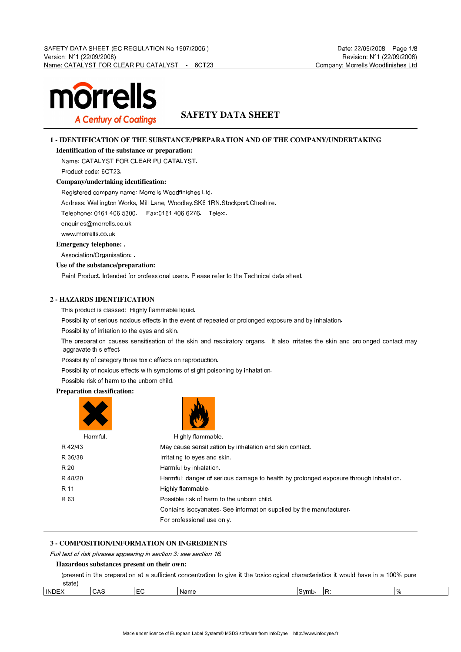

## **SAFETY DATA SHEET**

## **1 - IDENTIFICATION OF THE SUBSTANCE/PREPARATION AND OF THE COMPANY/UNDERTAKING**

**Identification of the substance or preparation:**

Name: CATALYST FOR CLEAR PU CATALYST.

Product code: 6CT23.

**Company/undertaking identification:**

Registered company name: Morrells Woodfinishes Ltd.

Address: Wellington Works, Mill Lane, Woodley.SK6 1RN.Stockport.Cheshire.

Telephone: 0161 406 5300. Fax:0161 406 6276. Telex:.

enquiries@morrells.co.uk

www.morrells.co.uk

**Emergency telephone: .**

Association/Organisation: .

**Use of the substance/preparation:**

Paint Product. Intended for professional users. Please refer to the Technical data sheet.

## **2 - HAZARDS IDENTIFICATION**

This product is classed: Highly flammable liquid.

Possibility of serious noxious effects in the event of repeated or prolonged exposure and by inhalation.

Possibility of irritation to the eyes and skin.

The preparation causes sensitisation of the skin and respiratory organs. It also irritates the skin and prolonged contact may aggravate this effect.

Possibility of category three toxic effects on reproduction.

Possibility of noxious effects with symptoms of slight poisoning by inhalation.

Possible risk of harm to the unborn child.

## **Preparation classification:**

| Harmful. | Highly flammable.                                                                     |
|----------|---------------------------------------------------------------------------------------|
| R 42/43  | May cause sensitization by inhalation and skin contact.                               |
| R 36/38  | Imitating to eyes and skin.                                                           |
| R 20     | Harmful by inhalation.                                                                |
| R 48/20  | Harmful: danger of serious damage to health by prolonged exposure through inhalation. |
| R 11     | Highly flammable.                                                                     |
| R 63     | Possible risk of harm to the unborn child.                                            |
|          | Contains isocyanates. See information supplied by the manufacturer.                   |
|          | For professional use only.                                                            |

## **3 - COMPOSITION/INFORMATION ON INGREDIENTS**

## Full text of risk phrases appearing in section 3: see section 16.

## **Hazardous substances present on their own:**

(present in the preparation at a sufficient concentration to give it the toxicological characteristics it would have in a 100% pure

| state <sup>)</sup>    |     |           |      |      |          |   |
|-----------------------|-----|-----------|------|------|----------|---|
| <b>INDEX</b><br>_____ | CAS | $ -$<br>◡ | Name | Symb | D.<br>D. | . |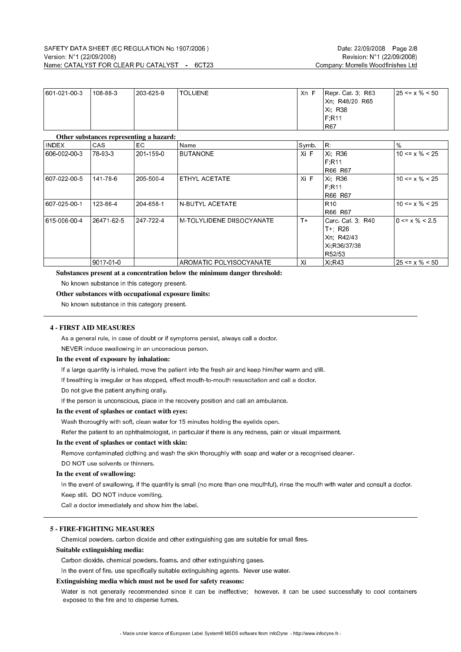| 601 021 00 3 | 108-88-3 | 203-625-9 | TOLUENE | Xn F | Repr Cat 3, R63 | $ 25 \le x \% \le 50$ |
|--------------|----------|-----------|---------|------|-----------------|-----------------------|
|              |          |           |         |      | Xn. R48/20 R65  |                       |
|              |          |           |         |      | Xi: R38         |                       |
|              |          |           |         |      | F.R11           |                       |
|              |          |           |         |      | R67             |                       |

#### **Other substances representing a hazard:**

| <b>INDEX</b> | er busbenneeb representing winning wi<br>CAS. | EC.       | Name                       | Symb. | IR.             | $\%$                 |
|--------------|-----------------------------------------------|-----------|----------------------------|-------|-----------------|----------------------|
| 606 002 00 3 | 78 93 3                                       | 201-159-0 | <b>BUTANONE</b>            | Xi F  | Xi: R36         | $10 \le x \% \le 25$ |
|              |                                               |           |                            |       | F:R11           |                      |
|              |                                               |           |                            |       | R66 R67         |                      |
| 607 022 00 5 | 141-78-6                                      | 205 500 4 | ETHYL ACETATE              | Xi F  | Xi: R36         | $10 \le x \% \le 25$ |
|              |                                               |           |                            |       | F:R11           |                      |
|              |                                               |           |                            |       | R66 R67         |                      |
| 607 025 00-1 | 123 86 4                                      | 204-658-1 | IN-BUTYL ACETATE           |       | R <sub>10</sub> | $10 \le x \% \le 25$ |
|              |                                               |           |                            |       | R66 R67         |                      |
| 615 006 00 4 | 26471 62 5                                    | 247 722 4 | IM-TOLYLIDENE DIISOCYANATE | $T+$  | Carc Cat 3, R40 | $0 \le x \% \le 2.5$ |
|              |                                               |           |                            |       | T+ R26          |                      |
|              |                                               |           |                            |       | Xn, R42/43      |                      |
|              |                                               |           |                            |       | Xi R36/37/38    |                      |
|              |                                               |           |                            |       | R52/53          |                      |
|              | 9017-01-0                                     |           | AROMATIC POLYISOCYANATE    | Xi    | Xi, R43         | $25 \le x \% \le 50$ |

**Substances present at a concentration below the minimum danger threshold:**

No known substance in this category present.

**Other substances with occupational exposure limits:**

No known substance in this category present.

#### **4 - FIRST AID MEASURES**

As a general rule, in case of doubt or if symptoms persist, always call a doctor.

NEVER induce swallowing in an unconscious person.

## **In the event of exposure by inhalation:**

If a large quantity is inhaled, move the patient into the fresh air and keep him/her warm and still.

If breathing is irregular or has stopped, effect mouth-to-mouth resuscitation and call a doctor.

Do not give the patient anything orally.

If the person is unconscious, place in the recovery position and call an ambulance.

#### **In the event of splashes or contact with eyes:**

Wash thoroughly with soft, clean water for 15 minutes holding the eyelids open.

Refer the patient to an ophthalmologist, in particular if there is any redness, pain or visual impairment.

#### **In the event of splashes or contact with skin:**

Remove contaminated clothing and wash the skin thoroughly with soap and water or a recognised cleaner.

DO NOT use solvents or thinners.

## **In the event of swallowing:**

In the event of swallowing, if the quantity is small (no more than one mouthful), rinse the mouth with water and consult a doctor. Keep still. DO NOT induce vomiting.

Call a doctor immediately and show him the label.

## **5 - FIRE-FIGHTING MEASURES**

Chemical powders, carbon dioxide and other extinguishing gas are suitable for small fires.

#### **Suitable extinguishing media:**

Carbon dioxide, chemical powders, foams, and other extinguishing gases.

In the event of fire, use specifically suitable extinguishing agents. Never use water.

## **Extinguishing media which must not be used for safety reasons:**

Water is not generally recommended since it can be ineffective; however, it can be used successfully to cool containers exposed to the fire and to disperse fumes.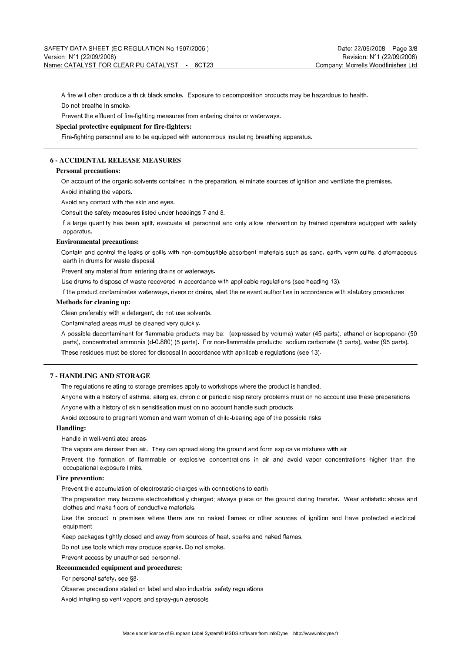A fire will often produce a thick black smoke. Exposure to decomposition products may be hazardous to health. Do not breathe in smoke.

Prevent the effluent of fire-fighting measures from entering drains or waterways.

## **Special protective equipment for fire-fighters:**

Fire-fighting personnel are to be equipped with autonomous insulating breathing apparatus.

## **6 - ACCIDENTAL RELEASE MEASURES**

## **Personal precautions:**

On account of the organic solvents contained in the preparation, eliminate sources of ignition and ventilate the premises.

Avoid inhaling the vapors.

Avoid any contact with the skin and eyes.

Consult the safety measures listed under headings 7 and 8.

If a large quantity has been spilt, evacuate all personnel and only allow intervention by trained operators equipped with safety apparatus.

#### **Environmental precautions:**

Contain and control the leaks or spills with non-combustible absorbent materials such as sand, earth, vermiculite, diatomaceous earth in drums for waste disposal.

Prevent any material from entering drains or waterways.

Use drums to dispose of waste recovered in accordance with applicable regulations (see heading 13).

If the product contaminates waterways, rivers or drains, alert the relevant authorities in accordance with statutory procedures

## **Methods for cleaning up:**

Clean preferably with a detergent, do not use solvents.

Contaminated areas must be cleaned very quickly.

A possible decontaminant for flammable products may be: (expressed by volume) water (45 parts), ethanol or isopropanol (50 parts), concentrated ammonia (d-0.880) (5 parts). For non-flammable products: sodium carbonate (5 parts), water (95 parts).

These residues must be stored for disposal in accordance with applicable regulations (see 13).

## **7 - HANDLING AND STORAGE**

The regulations relating to storage premises apply to workshops where the product is handled.

Anyone with a history of asthma, allergies, chronic or periodic respiratory problems must on no account use these preparations Anyone with a history of skin sensitisation must on no account handle such products

Avoid exposure to pregnant women and warn women of child-bearing age of the possible risks

## **Handling:**

Handle in well-ventilated areas.

The vapors are denser than air. They can spread along the ground and form explosive mixtures with air

Prevent the formation of flammable or explosive concentrations in air and avoid vapor concentrations higher than the occupational exposure limits.

## **Fire prevention:**

Prevent the accumulation of electrostatic charges with connections to earth

The preparation may become electrostatically charged; always place on the ground during transfer. Wear antistatic shoes and clothes and make floors of conductive materials.

Use the product in premises where there are no naked flames or other sources of ignition and have protected electrical equipment

Keep packages tightly closed and away from sources of heat, sparks and naked flames.

Do not use tools which may produce sparks. Do not smoke.

Prevent access by unauthorised personnel.

**Recommended equipment and procedures:**

For personal safety, see §8.

Observe precautions stated on label and also industrial safety regulations

Avoid inhaling solvent vapors and spray-gun aerosols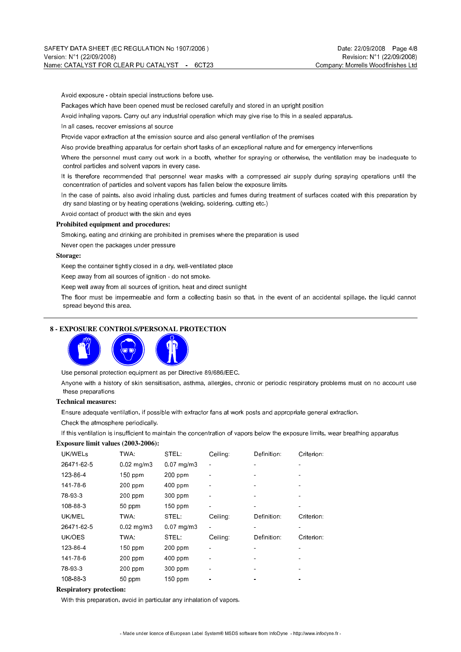Avoid exposure - obtain special instructions before use.

Packages which have been opened must be reclosed carefully and stored in an upright position

Avoid inhaling vapors. Carry out any industrial operation which may give rise to this in a sealed apparatus.

In all cases, recover emissions at source

Provide vapor extraction at the emission source and also general ventilation of the premises

Also provide breathing apparatus for certain short tasks of an exceptional nature and for emergency interventions

Where the personnel must carry out work in a booth, whether for spraying or otherwise, the ventilation may be inadequate to control particles and solvent vapors in every case.

It is therefore recommended that personnel wear masks with a compressed air supply during spraying operations until the concentration of particles and solvent vapors has fallen below the exposure limits.

In the case of paints, also avoid inhaling dust, particles and fumes during treatment of surfaces coated with this preparation by dry sand blasting or by heating operations (welding, soldering, cutting etc.)

Avoid contact of product with the skin and eyes

## **Prohibited equipment and procedures:**

Smoking, eating and drinking are prohibited in premises where the preparation is used

Never open the packages under pressure

## **Storage:**

Keep the container tightly closed in a dry, well-ventilated place

Keep away from all sources of ignition - do not smoke.

Keep well away from all sources of ignition, heat and direct sunlight

The floor must be impermeable and form a collecting basin so that, in the event of an accidental spillage, the liquid cannot spread beyond this area.

## **8 - EXPOSURE CONTROLS/PERSONAL PROTECTION**



Use personal protection equipment as per Directive 89/686/EEC.

Anyone with a history of skin sensitisation, asthma, allergies, chronic or periodic respiratory problems must on no account use these preparations

## **Technical measures:**

Ensure adequate ventilation, if possible with extractor fans at work posts and appropriate general extraction.

Check the atmosphere periodically.

If this ventilation is insufficient to maintain the concentration of vapors below the exposure limits, wear breathing apparatus

## **Exposure limit values (2003-2006):**

| UK/WELS    | TWA:                  | STEL:           | Ceiling: | Definition: | Criterion: |
|------------|-----------------------|-----------------|----------|-------------|------------|
| 26471 62 5 | $0.02$ mg/m $3$       | $0.07$ mg/m $3$ |          |             |            |
| 123-86-4   | $150$ ppm             | $200$ ppm       |          |             |            |
| 141-78-6   | $200$ ppm             | 400 ppm         |          |             |            |
| 78 93 3    | $200$ ppm             | 300 ppm         |          |             |            |
| 108-88-3   | 50 ppm                | $150$ ppm       |          |             |            |
| UK/MEL     | TWA:                  | STEL:           | Ceiling: | Definition: | Criterion: |
| 26471 62 5 | $0.02 \text{ mq/m}$ 3 | $0.07$ mg/m $3$ |          |             |            |
| UK/OES     | TWA:                  | STEL:           | Ceiling: | Definition: | Criterion: |
| 123-86-4   | $150$ ppm             | 200 ppm         |          |             |            |
| 141-78-6   | $200$ ppm             | 400 ppm         |          |             |            |
| 78 93 3    | $200$ ppm             | 300 ppm         |          |             |            |
| 108-88-3   | 50 ppm                | $150$ ppm       |          |             |            |

## **Respiratory protection:**

With this preparation, avoid in particular any inhalation of vapors.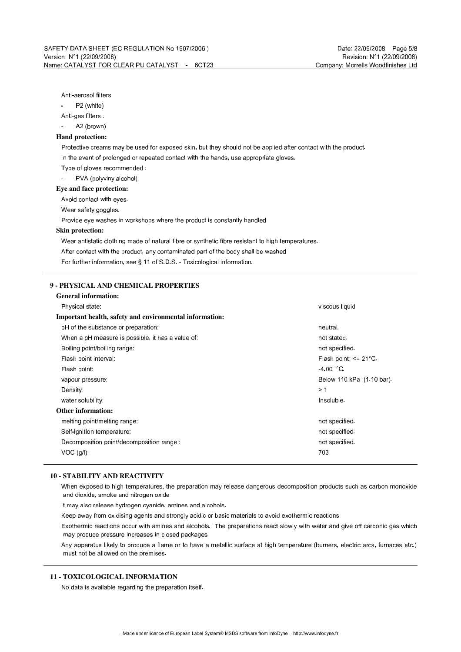## Anti-aerosol filters

P2 (white)

Anti-gas filters :

A2 (brown)

### **Hand protection:**

Protective creams may be used for exposed skin, but they should not be applied after contact with the product. In the event of prolonged or repeated contact with the hands, use appropriate gloves.

Type of gloves recommended :

PVA (polyvinylalcohol)

**Eye and face protection:**

Avoid contact with eyes.

Wear safety goggles.

Provide eye washes in workshops where the product is constantly handled

#### **Skin protection:**

Wear antistatic clothing made of natural fibre or synthetic fibre resistant to high temperatures.

After contact with the product, any contaminated part of the body shall be washed

For further information, see § 11 of S.D.S. - Toxicological information.

## **9 - PHYSICAL AND CHEMICAL PROPERTIES**

| <b>General information:</b>                             |                            |
|---------------------------------------------------------|----------------------------|
| Physical state:                                         | viscous liquid             |
| Important health, safety and environmental information: |                            |
| pH of the substance or preparation:                     | neutral.                   |
| When a pH measure is possible, it has a value of:       | not stated.                |
| Boiling point/boiling range:                            | not specified.             |
| Flash point interval:                                   | Flash point: $\leq$ 21 °C. |
| Flash point:                                            | $-4.00 °C$                 |
| vapour pressure:                                        | Below 110 kPa (1.10 bar).  |
| Density:                                                | >1                         |
| water solubility:                                       | Insoluble.                 |
| <b>Other information:</b>                               |                            |
| metting point/metting range.                            | not specified.             |
| Self-ignition temperature:                              | not specified.             |
| Decomposition point/decomposition range:                | not specified.             |
| $VOC$ $(q/l)$ :                                         | 703                        |
|                                                         |                            |

## **10 - STABILITY AND REACTIVITY**

When exposed to high temperatures, the preparation may release dangerous decomposition products such as carbon monoxide and dioxide, smoke and nitrogen oxide

It may also release hydrogen cyanide, amines and alcohols.

Keep away from oxidising agents and strongly acidic or basic materials to avoid exothermic reactions

Exothermic reactions occur with amines and alcohols. The preparations react slowly with water and give off carbonic gas which may produce pressure increases in closed packages

Any apparatus likely to produce a flame or to have a metallic surface at high temperature (burners, electric arcs, furnaces etc.) must not be allowed on the premises.

## **11 - TOXICOLOGICAL INFORMATION**

No data is available regarding the preparation itself.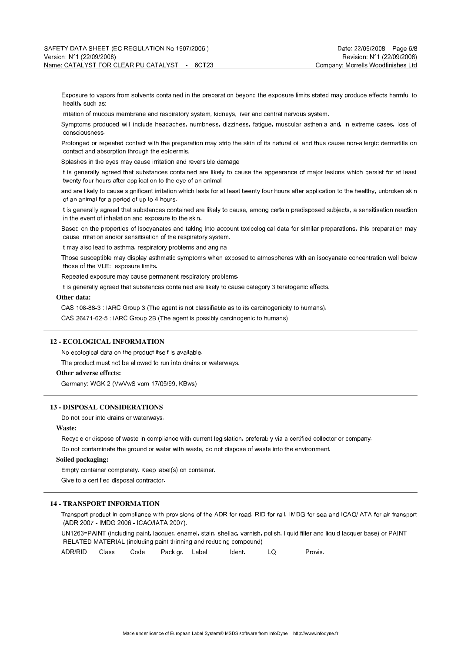Exposure to vapors from solvents contained in the preparation beyond the exposure limits stated may produce effects harmful to health, such as:

Irritation of mucous membrane and respiratory system, kidneys, liver and central nervous system.

Symptoms produced will include headaches, numbness, dizziness, fatigue, muscular asthenia and, in extreme cases, loss of consciousness.

Prolonged or repeated contact with the preparation may strip the skin of its natural oil and thus cause non-allergic dermatitis on contact and absorption through the epidermis.

Splashes in the eyes may cause irritation and reversible damage

It is generally agreed that substances contained are likely to cause the appearance of major lesions which persist for at least twenty-four hours after application to the eye of an animal

and are likely to cause significant irritation which lasts for at least twenty four hours after application to the healthy, unbroken skin of an animal for a period of up to 4 hours.

It is generally agreed that substances contained are likely to cause, among certain predisposed subjects, a sensitisation reaction in the event of inhalation and exposure to the skin.

Based on the properties of isocyanates and taking into account toxicological data for similar preparations, this preparation may cause irritation and/or sensitisation of the respiratory system.

It may also lead to asthma, respiratory problems and angina

Those susceptible may display asthmatic symptoms when exposed to atmospheres with an isocyanate concentration well below those of the VLE: exposure limits.

Repeated exposure may cause permanent respiratory problems.

It is generally agreed that substances contained are likely to cause category 3 teratogenic effects.

#### **Other data:**

CAS 108-88-3 : IARC Group 3 (The agent is not classifiable as to its carcinogenicity to humans).

CAS 26471-62-5 : IARC Group 2B (The agent is possibly carcinogenic to humans)

#### **12 - ECOLOGICAL INFORMATION**

No ecological data on the product itself is available.

The product must not be allowed to run into drains or waterways.

#### **Other adverse effects:**

Germany: WGK 2 (VwVwS vom 17/05/99, KBws)

#### **13 - DISPOSAL CONSIDERATIONS**

Do not pour into drains or waterways.

#### **Waste:**

Recycle or dispose of waste in compliance with current legislation, preferably via a certified collector or company.

Do not contaminate the ground or water with waste, do not dispose of waste into the environment.

### **Soiled packaging:**

Empty container completely. Keep label(s) on container.

Give to a certified disposal contractor.

## **14 - TRANSPORT INFORMATION**

Transport product in compliance with provisions of the ADR for road, RID for rail, IMDG for sea and ICAO/IATA for air transport (ADR 2007 - IMDG 2006 - ICAO/IATA 2007).

UN1263=PAINT (including paint, lacquer, enamel, stain, shellac, varnish, polish, liquid filler and liquid lacquer base) or PAINT RELATED MATERIAL (including paint thinning and reducing compound)

ADR/RID Class Code Pack gr. Label Ident. LQ Provis.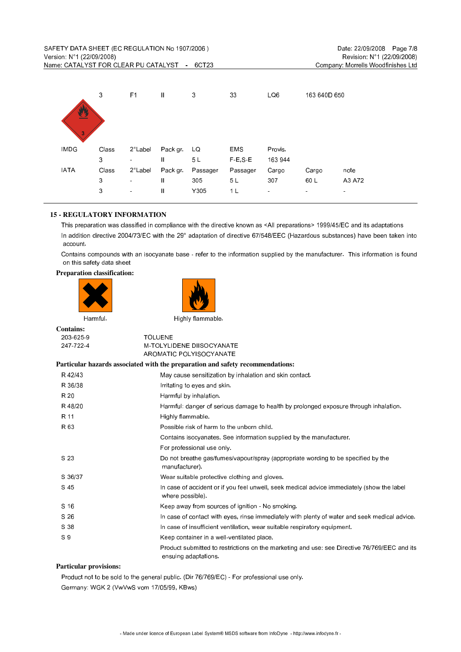| 业<br>3      | 3     | F <sub>1</sub>   | $\mathbf{I}$  | 3              | 33             | LQ6            | 163 640D 650   |                |
|-------------|-------|------------------|---------------|----------------|----------------|----------------|----------------|----------------|
| <b>IMDG</b> | Class | $2^{\circ}$ Labe | Pack gr       | LQ             | <b>EMS</b>     | <b>Provis</b>  |                |                |
|             | 3     | ٠                | $\mathbf{I}$  | 5 <sub>L</sub> | F.E.S.E        | 163 944        |                |                |
| <b>IATA</b> | Class | $2^{\circ}$ Labe | Pack gr       | Passager       | Passager       | Cargo          | Cargo          | note           |
|             | 3     | $\sim$           | $\mathbf{I}$  | 305            | 5L             | 307            | 60 L           | A3 A72         |
|             | 3     | $\sim$           | $\mathbf{II}$ | Y305           | 1 <sub>L</sub> | $\blacksquare$ | $\blacksquare$ | $\blacksquare$ |

## **15 - REGULATORY INFORMATION**

This preparation was classified in compliance with the directive known as <All preparations> 1999/45/EC and its adaptations In addition directive 2004/73/EC with the 29° adaptation of directive 67/548/EEC (Hazardous substances) have been taken into account.

Contains compounds with an isocyanate base - refer to the information supplied by the manufacturer. This information is found on this safety data sheet

#### **Preparation classification:**



**Contains:** 203-625-9 TOLUENE 247-722-4 M-TOLYLIDENE DIISOCYANATE AROMATIC POLYISOCYANATE **Particular hazards associated with the preparation and safety recommendations:** R 42/43 May cause sensitization by inhalation and skin contact. R 36/38 **Initially 1** Initialing to eyes and skin. R 20 **Harmful by inhalation.** R 48/20 Harmful: danger of serious damage to health by prolonged exposure through inhalation. R 11 **Highly flammable.** R 63 Possible risk of harm to the unborn child. Contains isocyanates. See information supplied by the manufacturer. For professional use only. S 23 Do not breathe gas/fumes/vapour/spray (appropriate wording to be specified by the manufacturer). S 36/37 Wear suitable protective clothing and gloves. S 45 **In case of accident or if you feel unwell, seek medical advice immediately (show the label**  where possible). S 16 S 16 Keep away from sources of ignition - No smoking. S 26 **In case of contact with eyes, rinse immediately with plenty of water and seek medical advice.** S 38 **In case of insufficient ventilation, wear suitable respiratory equipment.** S 9 Keep container in a well-ventilated place. Product submitted to restrictions on the marketing and use: see Directive 76/769/EEC and its ensuing adaptations. **Particular provisions:**

Product not to be sold to the general public. (Dir 76/769/EC) - For professional use only. Germany: WGK 2 (VwVwS vom 17/05/99, KBws)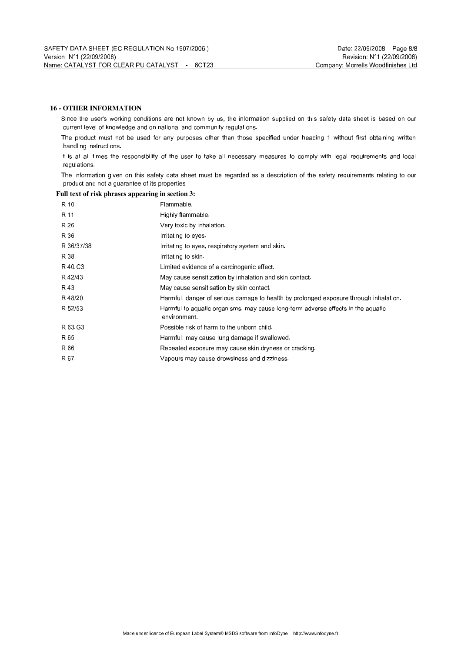## **16 - OTHER INFORMATION**

Since the user's working conditions are not known by us, the information supplied on this safety data sheet is based on our current level of knowledge and on national and community regulations.

The product must not be used for any purposes other than those specified under heading 1 without first obtaining written handling instructions.

It is at all times the responsibility of the user to take all necessary measures to comply with legal requirements and local regulations.

The information given on this safety data sheet must be regarded as a description of the safety requirements relating to our product and not a guarantee of its properties

## **Full text of risk phrases appearing in section 3:**

| R 10       | Flammable.                                                                                      |
|------------|-------------------------------------------------------------------------------------------------|
| R 11       | Highly flammable.                                                                               |
| R 26       | Very toxic by inhalation.                                                                       |
| R 36       | Imitating to eyes.                                                                              |
| R 36/37/38 | Initiating to eyes, respiratory system and skin.                                                |
| R 38       | Imitating to skin.                                                                              |
| R 40 C3    | Limited evidence of a carcinogenic effect                                                       |
| R 42/43    | May cause sensitization by inhalation and skin contact.                                         |
| R 43       | May cause sensitisation by skin contact                                                         |
| R48/20     | Harmful: danger of serious damage to health by prolonged exposure through inhalation.           |
| R 52/53    | Harmful to aquatic organisms, may cause long-term adverse effects in the aquatic<br>environment |
| R 63 G3    | Possible risk of harm to the unborn child.                                                      |
| R 65       | Harmful: may cause lung damage if swallowed.                                                    |
| R 66       | Repeated exposure may cause skin dryness or cracking.                                           |
| R 67       | Vapours may cause drowsiness and dizziness.                                                     |